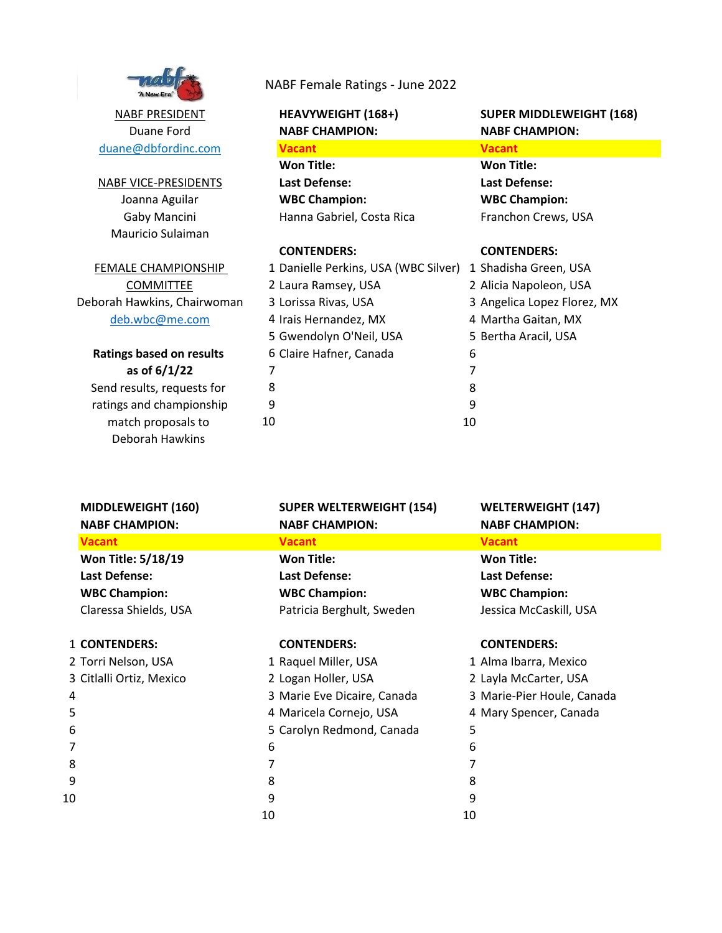

NABF PRESIDENT duane@dbfordinc.com Duane Ford

Gaby Mancini Joanna Aguilar NABF VICE-PRESIDENTS Mauricio Sulaiman

deb.wbc@me.com Deborah Hawkins, Chairwoman **COMMITTEE** FEMALE CHAMPIONSHIP

### Send results, requests for **as of 6/1/22 Ratings based on results**

Deborah Hawkins match proposals to ratings and championship

### NABF Female Ratings - June 2022

**Vacant Vacant Won Title: Won Title: Last Defense: Last Defense: WBC Champion: WBC Champion:** Hanna Gabriel, Costa Rica Franchon Crews, USA

### **CONTENDERS: CONTENDERS:**

| 1 Danielle Perkins, USA (WBC Silver) | 1  |
|--------------------------------------|----|
| 2 Laura Ramsey, USA                  | 2  |
| 3 Lorissa Rivas, USA                 | 3  |
| 4 Irais Hernandez, MX                | 4  |
| 5 Gwendolyn O'Neil, USA              | 5  |
| 6 Claire Hafner, Canada              | 6  |
| 7                                    | 7  |
| 8                                    | 8  |
| 9                                    | 9  |
| 10                                   | 10 |
|                                      |    |

### **HEAVYWEIGHT (168+) SUPER MIDDLEWEIGHT (168) NABF CHAMPION: NABF CHAMPION:**

1 Shadisha Green, USA 2 Alicia Napoleon, USA 3 Angelica Lopez Florez, MX 4 Martha Gaitan, MX 5 Bertha Aracil, USA

| <b>MIDDLEWEIGHT (160)</b><br><b>NABF CHAMPION:</b> | <b>SUPER WELTERWEIGHT (154)</b><br><b>NABF CHAMPION:</b> | <b>WELTERWEIGHT (147)</b><br><b>NABF CHAMPION:</b> |
|----------------------------------------------------|----------------------------------------------------------|----------------------------------------------------|
| <b>Vacant</b>                                      | <b>Vacant</b>                                            | <b>Vacant</b>                                      |
| Won Title: 5/18/19                                 | <b>Won Title:</b>                                        | <b>Won Title:</b>                                  |
| Last Defense:                                      | Last Defense:                                            | Last Defense:                                      |
| <b>WBC Champion:</b>                               | <b>WBC Champion:</b>                                     | <b>WBC Champion:</b>                               |
| Claressa Shields, USA                              | Patricia Berghult, Sweden                                | Jessica McCaskill, USA                             |
| <b>1 CONTENDERS:</b>                               | <b>CONTENDERS:</b>                                       | <b>CONTENDERS:</b>                                 |
| 2 Torri Nelson, USA                                | 1 Raquel Miller, USA                                     | 1 Alma Ibarra, Mexico                              |
| 3 Citlalli Ortiz, Mexico                           | 2 Logan Holler, USA                                      | 2 Layla McCarter, USA                              |
| 4                                                  | 3 Marie Eve Dicaire, Canada                              | 3 Marie-Pier Houle, Canada                         |
| 5                                                  | 4 Maricela Cornejo, USA                                  | 4 Mary Spencer, Canada                             |
| 6                                                  | 5 Carolyn Redmond, Canada                                | 5                                                  |
|                                                    | 6                                                        | 6                                                  |
| 8                                                  | 7                                                        |                                                    |
| 9                                                  | 8                                                        | 8                                                  |
| 10                                                 | 9                                                        | 9                                                  |
|                                                    | 10                                                       | 10                                                 |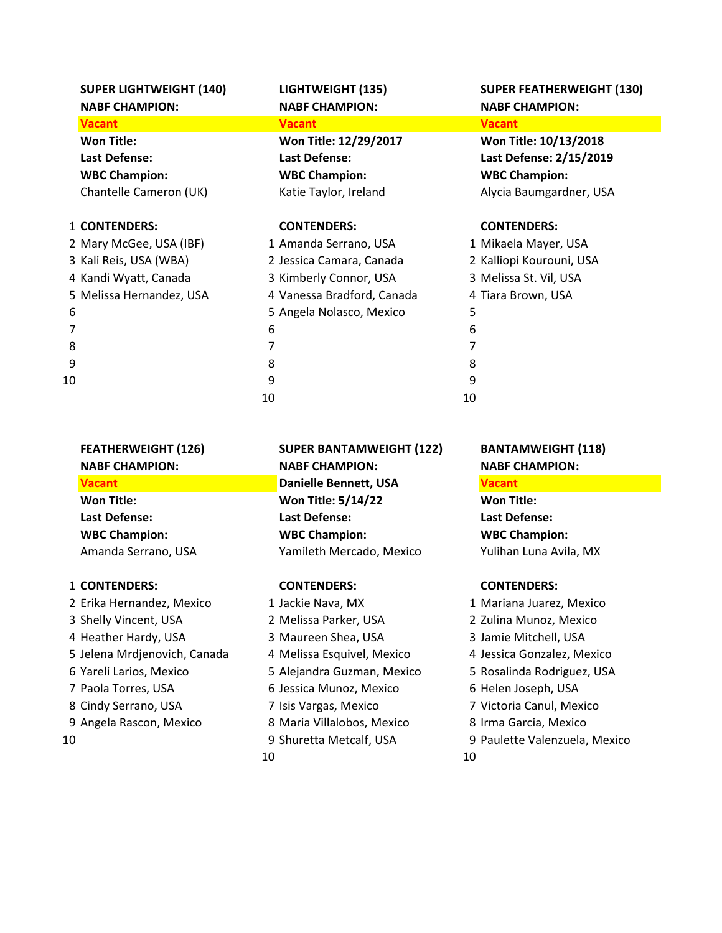**Vacant Vacant Vacant Won Title: Won Title: 12/29/2017 Won Title: 10/13/2018 WBC Champion: WBC Champion: WBC Champion:**

### 1 **CONTENDERS: CONTENDERS: CONTENDERS:**

|                | 2 Mary McGee, USA (IBF)  |
|----------------|--------------------------|
|                | 3 Kali Reis, USA (WBA)   |
|                | 4 Kandi Wyatt, Canada    |
|                | 5 Melissa Hernandez, USA |
| 6              |                          |
| $\overline{7}$ |                          |
| 8              |                          |
| 9              |                          |
| 0.             |                          |
|                |                          |

| 2 Mary McGee, USA (IBF)  | 1 Amanda Serrano, USA      | 1 Mikaela Mayer, USA     |
|--------------------------|----------------------------|--------------------------|
| 3 Kali Reis, USA (WBA)   | 2 Jessica Camara, Canada   | 2 Kalliopi Kourouni, USA |
| 4 Kandi Wyatt, Canada    | 3 Kimberly Connor, USA     | 3 Melissa St. Vil, USA   |
| 5 Melissa Hernandez, USA | 4 Vanessa Bradford, Canada | 4 Tiara Brown, USA       |
| 6                        | 5 Angela Nolasco, Mexico   | 5                        |
|                          | 6                          | 6                        |
| 8                        |                            |                          |
| 9                        | 8                          | 8                        |
| 10                       | 9                          | 9                        |
|                          | 10                         | 10                       |

### **SUPER LIGHTWEIGHT (140) LIGHTWEIGHT (135) SUPER FEATHERWEIGHT (130) NABF CHAMPION: NABF CHAMPION: NABF CHAMPION:**

**Last Defense: Last Defense: Last Defense: 2/15/2019** Chantelle Cameron (UK) Katie Taylor, Ireland Alycia Baumgardner, USA

|     | 1 Mikaela Mayer, USA     |
|-----|--------------------------|
|     | 2 Kalliopi Kourouni, USA |
|     | 3 Melissa St. Vil, USA   |
|     | 4 Tiara Brown, USA       |
| 5   |                          |
| 6   |                          |
| 7   |                          |
| 8   |                          |
| q   |                          |
| l O |                          |

### 1 **CONTENDERS: CONTENDERS: CONTENDERS:**

 Erika Hernandez, Mexico 1 Jackie Nava, MX 1 Mariana Juarez, Mexico Shelly Vincent, USA 2 Melissa Parker, USA 2 Zulina Munoz, Mexico 4 Heather Hardy, USA 3 Maureen Shea, USA 3 Jamie Mitchell, USA Jelena Mrdjenovich, Canada 4 Melissa Esquivel, Mexico 4 Jessica Gonzalez, Mexico Yareli Larios, Mexico 5 Alejandra Guzman, Mexico 5 Rosalinda Rodriguez, USA Paola Torres, USA 6 Jessica Munoz, Mexico 6 Helen Joseph, USA 8 Cindy Serrano, USA 7 Isis Vargas, Mexico 7 Victoria Canul, Mexico Angela Rascon, Mexico 8 Maria Villalobos, Mexico 8 Irma Garcia, Mexico

**FEATHERWEIGHT (126) SUPER BANTAMWEIGHT (122) BANTAMWEIGHT (118) NABF CHAMPION: NABF CHAMPION: NABF CHAMPION: Vacant Danielle Bennett, USA Vacant Won Title: Won Title: 5/14/22 Won Title: Last Defense: Last Defense: Last Defense: WBC Champion: WBC Champion: WBC Champion:** Amanda Serrano, USA Yamileth Mercado, Mexico Yulihan Luna Avila, MX

10 10

- 
- 
- 
- 
- 
- 
- 
- 
- 10 9 Shuretta Metcalf, USA 9 Paulette Valenzuela, Mexico
	-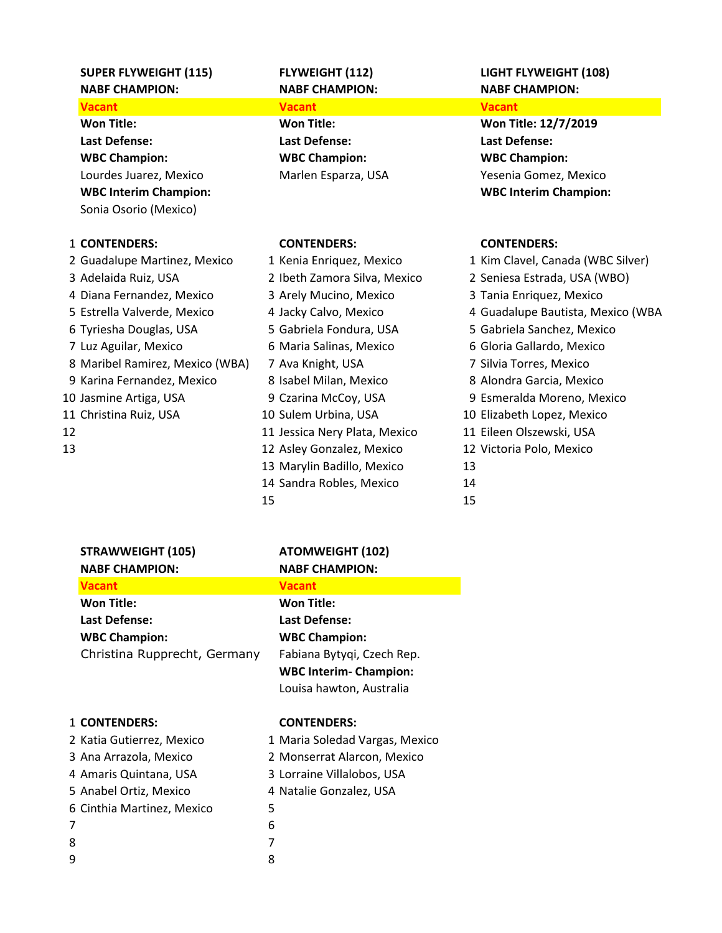## **NABF CHAMPION: NABF CHAMPION: NABF CHAMPION:**

**Won Title: Won Title: Won Title: 12/7/2019 Last Defense: Last Defense: Last Defense: WBC Champion: WBC Champion: WBC Champion:** Sonia Osorio (Mexico)

### 1 **CONTENDERS: CONTENDERS: CONTENDERS:**

|    | 2 Guadalupe Martinez, Mexico    | 1 Kenia Enriquez, Mexico      |
|----|---------------------------------|-------------------------------|
|    | 3 Adelaida Ruiz, USA            | 2 Ibeth Zamora Silva, Mexicc  |
|    | 4 Diana Fernandez, Mexico       | 3 Arely Mucino, Mexico        |
|    | 5 Estrella Valverde, Mexico     | 4 Jacky Calvo, Mexico         |
|    | 6 Tyriesha Douglas, USA         | 5 Gabriela Fondura, USA       |
|    | 7 Luz Aguilar, Mexico           | 6 Maria Salinas, Mexico       |
|    | 8 Maribel Ramirez, Mexico (WBA) | 7 Ava Knight, USA             |
|    | 9 Karina Fernandez, Mexico      | 8 Isabel Milan, Mexico        |
|    | 10 Jasmine Artiga, USA          | 9 Czarina McCoy, USA          |
|    | 11 Christina Ruiz, USA          | 10 Sulem Urbina, USA          |
| 12 |                                 | 11 Jessica Nery Plata, Mexico |
| 13 |                                 | 12 Asley Gonzalez, Mexico     |
|    |                                 | 13 Marylin Badillo, Mexico    |
|    |                                 |                               |

### **Vacant Vacant Vacant**

1 Kenia Enriquez, Mexico 1 Kim Clavel, Canada (WBC Silver) 2 Ibeth Zamora Silva, Mexico 3 Arely Mucino, Mexico 5 Gabriela Fondura, USA 6 Maria Salinas, Mexico A) 7 Ava Knight, USA 8 Isabel Milan, Mexico 13 Marylin Badillo, Mexico 14 Sandra Robles, Mexico 15 15

# **SUPER FLYWEIGHT (115) FLYWEIGHT (112) LIGHT FLYWEIGHT (108)**

Lourdes Juarez, Mexico Marlen Esparza, USA Yesenia Gomez, Mexico **WBC Interim Champion: WBC Interim Champion:**

| 2 Ibeth Zamora Silva, Mexico | 2 Seniesa Estrada, USA (WBO)      |
|------------------------------|-----------------------------------|
| 3 Arely Mucino, Mexico       | 3 Tania Enriquez, Mexico          |
| 4 Jacky Calvo, Mexico        | 4 Guadalupe Bautista, Mexico (WBA |
| 5 Gabriela Fondura, USA      | 5 Gabriela Sanchez, Mexico        |
| 6 Maria Salinas, Mexico      | 6 Gloria Gallardo, Mexico         |
| 7 Ava Knight, USA            | 7 Silvia Torres, Mexico           |
| 8 Isabel Milan, Mexico       | 8 Alondra Garcia, Mexico          |
| 9 Czarina McCoy, USA         | 9 Esmeralda Moreno, Mexico        |
| 0 Sulem Urbina, USA          | 10 Elizabeth Lopez, Mexico        |
| 1 Jessica Nery Plata, Mexico | 11 Eileen Olszewski, USA          |
| 2 Asley Gonzalez, Mexico     | 12 Victoria Polo, Mexico          |
| 3 Marylin Badillo, Mexico    | 13                                |
| 4 Sandra Robles, Mexico      | 14                                |
| .5                           | 15                                |

|   | <b>STRAWWEIGHT (105)</b>     |   | <b>ATOMWEIGHT (102)</b>        |
|---|------------------------------|---|--------------------------------|
|   | <b>NABF CHAMPION:</b>        |   | <b>NABF CHAMPION:</b>          |
|   | <b>Vacant</b>                |   | <b>Vacant</b>                  |
|   | <b>Won Title:</b>            |   | <b>Won Title:</b>              |
|   | <b>Last Defense:</b>         |   | <b>Last Defense:</b>           |
|   | <b>WBC Champion:</b>         |   | <b>WBC Champion:</b>           |
|   | Christina Rupprecht, Germany |   | Fabiana Bytyqi, Czech Rep.     |
|   |                              |   | <b>WBC Interim- Champion:</b>  |
|   |                              |   | Louisa hawton, Australia       |
|   |                              |   |                                |
|   | 1 CONTENDERS:                |   | <b>CONTENDERS:</b>             |
|   | 2 Katia Gutierrez, Mexico    |   | 1 Maria Soledad Vargas, Mexico |
|   | 3 Ana Arrazola, Mexico       |   | 2 Monserrat Alarcon, Mexico    |
|   | 4 Amaris Quintana, USA       |   | 3 Lorraine Villalobos, USA     |
|   | 5 Anabel Ortiz, Mexico       |   | 4 Natalie Gonzalez, USA        |
|   | 6 Cinthia Martinez, Mexico   | 5 |                                |
| 7 |                              | 6 |                                |
| 8 |                              | 7 |                                |
| 9 |                              | 8 |                                |